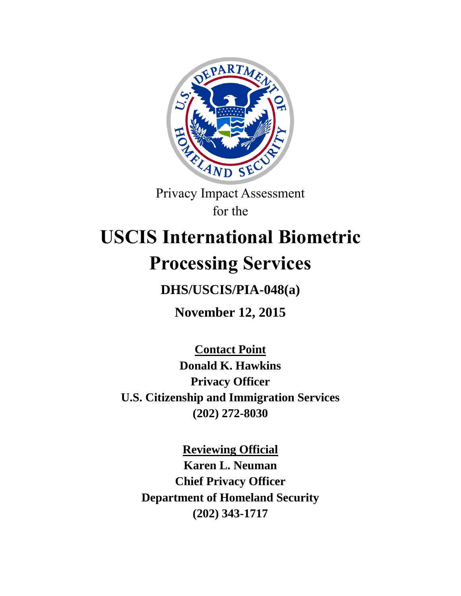

Privacy Impact Assessment for the

# **USCIS International Biometric Processing Services**

**DHS/USCIS/PIA-048(a)**

**November 12, 2015**

**Contact Point Donald K. Hawkins Privacy Officer U.S. Citizenship and Immigration Services (202) 272-8030**

**Reviewing Official Karen L. Neuman Chief Privacy Officer Department of Homeland Security (202) 343-1717**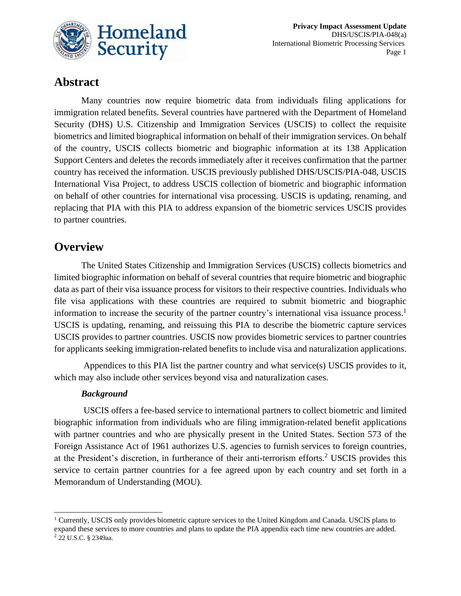

# **Abstract**

Many countries now require biometric data from individuals filing applications for immigration related benefits. Several countries have partnered with the Department of Homeland Security (DHS) U.S. Citizenship and Immigration Services (USCIS) to collect the requisite biometrics and limited biographical information on behalf of their immigration services. On behalf of the country, USCIS collects biometric and biographic information at its 138 Application Support Centers and deletes the records immediately after it receives confirmation that the partner country has received the information. USCIS previously published DHS/USCIS/PIA-048, USCIS International Visa Project, to address USCIS collection of biometric and biographic information on behalf of other countries for international visa processing. USCIS is updating, renaming, and replacing that PIA with this PIA to address expansion of the biometric services USCIS provides to partner countries.

## **Overview**

The United States Citizenship and Immigration Services (USCIS) collects biometrics and limited biographic information on behalf of several countries that require biometric and biographic data as part of their visa issuance process for visitors to their respective countries. Individuals who file visa applications with these countries are required to submit biometric and biographic information to increase the security of the partner country's international visa issuance process.<sup>1</sup> USCIS is updating, renaming, and reissuing this PIA to describe the biometric capture services USCIS provides to partner countries. USCIS now provides biometric services to partner countries for applicants seeking immigration-related benefits to include visa and naturalization applications.

Appendices to this PIA list the partner country and what service(s) USCIS provides to it, which may also include other services beyond visa and naturalization cases.

#### *Background*

 $\overline{\phantom{a}}$ 

USCIS offers a fee-based service to international partners to collect biometric and limited biographic information from individuals who are filing immigration-related benefit applications with partner countries and who are physically present in the United States. Section 573 of the Foreign Assistance Act of 1961 authorizes U.S. agencies to furnish services to foreign countries, at the President's discretion, in furtherance of their anti-terrorism efforts. <sup>2</sup> USCIS provides this service to certain partner countries for a fee agreed upon by each country and set forth in a Memorandum of Understanding (MOU).

 $1$  Currently, USCIS only provides biometric capture services to the United Kingdom and Canada. USCIS plans to expand these services to more countries and plans to update the PIA appendix each time new countries are added. <sup>2</sup> 22 U.S.C. § 2349aa.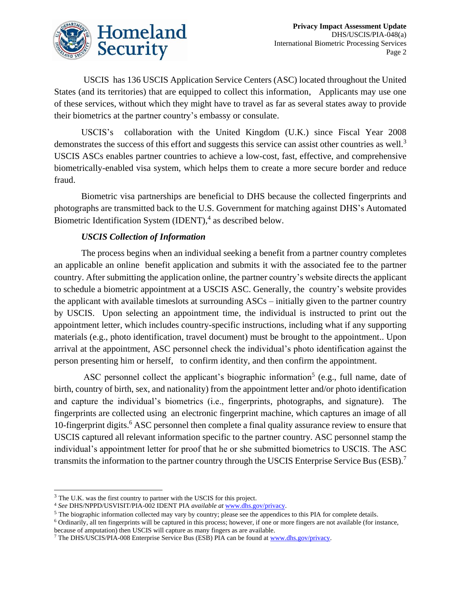

USCIS has 136 USCIS Application Service Centers (ASC) located throughout the United States (and its territories) that are equipped to collect this information, Applicants may use one of these services, without which they might have to travel as far as several states away to provide their biometrics at the partner country's embassy or consulate.

USCIS's collaboration with the United Kingdom (U.K.) since Fiscal Year 2008 demonstrates the success of this effort and suggests this service can assist other countries as well.<sup>3</sup> USCIS ASCs enables partner countries to achieve a low-cost, fast, effective, and comprehensive biometrically-enabled visa system, which helps them to create a more secure border and reduce fraud.

Biometric visa partnerships are beneficial to DHS because the collected fingerprints and photographs are transmitted back to the U.S. Government for matching against DHS's Automated Biometric Identification System (IDENT), 4 as described below.

#### *USCIS Collection of Information*

The process begins when an individual seeking a benefit from a partner country completes an applicable an online benefit application and submits it with the associated fee to the partner country. After submitting the application online, the partner country's website directs the applicant to schedule a biometric appointment at a USCIS ASC. Generally, the country's website provides the applicant with available timeslots at surrounding ASCs – initially given to the partner country by USCIS. Upon selecting an appointment time, the individual is instructed to print out the appointment letter, which includes country-specific instructions, including what if any supporting materials (e.g., photo identification, travel document) must be brought to the appointment.. Upon arrival at the appointment, ASC personnel check the individual's photo identification against the person presenting him or herself, to confirm identity, and then confirm the appointment.

ASC personnel collect the applicant's biographic information<sup>5</sup> (e.g., full name, date of birth, country of birth, sex, and nationality) from the appointment letter and/or photo identification and capture the individual's biometrics (i.e., fingerprints, photographs, and signature). The fingerprints are collected using an electronic fingerprint machine, which captures an image of all 10-fingerprint digits.<sup>6</sup> ASC personnel then complete a final quality assurance review to ensure that USCIS captured all relevant information specific to the partner country. ASC personnel stamp the individual's appointment letter for proof that he or she submitted biometrics to USCIS. The ASC transmits the information to the partner country through the USCIS Enterprise Service Bus (ESB).<sup>7</sup>

 $\overline{\phantom{a}}$ 

<sup>&</sup>lt;sup>3</sup> The U.K. was the first country to partner with the USCIS for this project.

<sup>4</sup> *See* DHS/NPPD/USVISIT/PIA-002 IDENT PIA *available at* [www.dhs.gov/privacy.](http://www.dhs.gov/privacy)

<sup>&</sup>lt;sup>5</sup> The biographic information collected may vary by country; please see the appendices to this PIA for complete details.

<sup>6</sup> Ordinarily, all ten fingerprints will be captured in this process; however, if one or more fingers are not available (for instance, because of amputation) then USCIS will capture as many fingers as are available.

<sup>7</sup> The DHS/USCIS/PIA-008 Enterprise Service Bus (ESB) PIA can be found at [www.dhs.gov/privacy.](http://www.dhs.gov/privacy)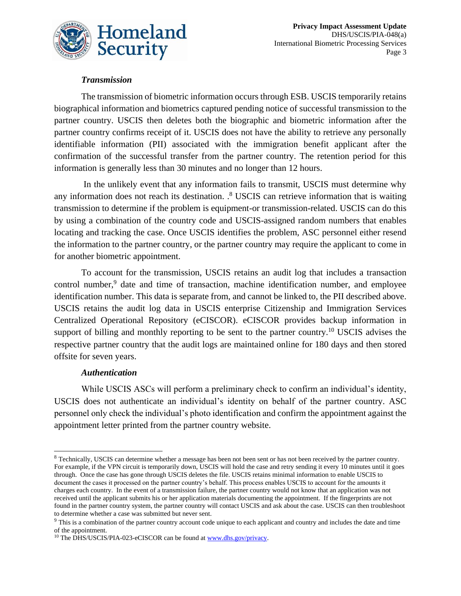

### *Transmission*

The transmission of biometric information occurs through ESB. USCIS temporarily retains biographical information and biometrics captured pending notice of successful transmission to the partner country. USCIS then deletes both the biographic and biometric information after the partner country confirms receipt of it. USCIS does not have the ability to retrieve any personally identifiable information (PII) associated with the immigration benefit applicant after the confirmation of the successful transfer from the partner country. The retention period for this information is generally less than 30 minutes and no longer than 12 hours.

In the unlikely event that any information fails to transmit, USCIS must determine why any information does not reach its destination. <sup>8</sup> USCIS can retrieve information that is waiting transmission to determine if the problem is equipment-or transmission-related. USCIS can do this by using a combination of the country code and USCIS-assigned random numbers that enables locating and tracking the case. Once USCIS identifies the problem, ASC personnel either resend the information to the partner country, or the partner country may require the applicant to come in for another biometric appointment.

To account for the transmission, USCIS retains an audit log that includes a transaction control number, $9$  date and time of transaction, machine identification number, and employee identification number. This data is separate from, and cannot be linked to, the PII described above. USCIS retains the audit log data in USCIS enterprise Citizenship and Immigration Services Centralized Operational Repository (eCISCOR). eCISCOR provides backup information in support of billing and monthly reporting to be sent to the partner country.<sup>10</sup> USCIS advises the respective partner country that the audit logs are maintained online for 180 days and then stored offsite for seven years.

#### *Authentication*

 $\overline{\phantom{a}}$ 

While USCIS ASCs will perform a preliminary check to confirm an individual's identity, USCIS does not authenticate an individual's identity on behalf of the partner country. ASC personnel only check the individual's photo identification and confirm the appointment against the appointment letter printed from the partner country website.

<sup>8</sup> Technically, USCIS can determine whether a message has been not been sent or has not been received by the partner country. For example, if the VPN circuit is temporarily down, USCIS will hold the case and retry sending it every 10 minutes until it goes through. Once the case has gone through USCIS deletes the file. USCIS retains minimal information to enable USCIS to document the cases it processed on the partner country's behalf. This process enables USCIS to account for the amounts it charges each country. In the event of a transmission failure, the partner country would not know that an application was not received until the applicant submits his or her application materials documenting the appointment. If the fingerprints are not found in the partner country system, the partner country will contact USCIS and ask about the case. USCIS can then troubleshoot to determine whether a case was submitted but never sent.

<sup>9</sup> This is a combination of the partner country account code unique to each applicant and country and includes the date and time of the appointment.

<sup>&</sup>lt;sup>10</sup> The DHS/USCIS/PIA-023-eCISCOR can be found a[t www.dhs.gov/privacy.](http://www.dhs.gov/privacy)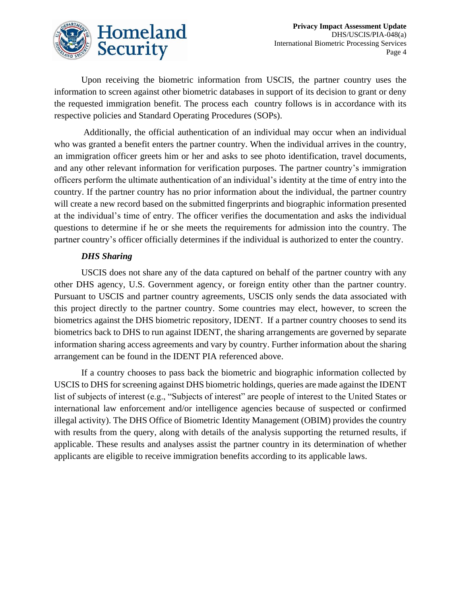

Upon receiving the biometric information from USCIS, the partner country uses the information to screen against other biometric databases in support of its decision to grant or deny the requested immigration benefit. The process each country follows is in accordance with its respective policies and Standard Operating Procedures (SOPs).

Additionally, the official authentication of an individual may occur when an individual who was granted a benefit enters the partner country. When the individual arrives in the country, an immigration officer greets him or her and asks to see photo identification, travel documents, and any other relevant information for verification purposes. The partner country's immigration officers perform the ultimate authentication of an individual's identity at the time of entry into the country. If the partner country has no prior information about the individual, the partner country will create a new record based on the submitted fingerprints and biographic information presented at the individual's time of entry. The officer verifies the documentation and asks the individual questions to determine if he or she meets the requirements for admission into the country. The partner country's officer officially determines if the individual is authorized to enter the country.

#### *DHS Sharing*

USCIS does not share any of the data captured on behalf of the partner country with any other DHS agency, U.S. Government agency, or foreign entity other than the partner country. Pursuant to USCIS and partner country agreements, USCIS only sends the data associated with this project directly to the partner country. Some countries may elect, however, to screen the biometrics against the DHS biometric repository, IDENT. If a partner country chooses to send its biometrics back to DHS to run against IDENT, the sharing arrangements are governed by separate information sharing access agreements and vary by country. Further information about the sharing arrangement can be found in the IDENT PIA referenced above.

If a country chooses to pass back the biometric and biographic information collected by USCIS to DHS for screening against DHS biometric holdings, queries are made against the IDENT list of subjects of interest (e.g., "Subjects of interest" are people of interest to the United States or international law enforcement and/or intelligence agencies because of suspected or confirmed illegal activity). The DHS Office of Biometric Identity Management (OBIM) provides the country with results from the query, along with details of the analysis supporting the returned results, if applicable. These results and analyses assist the partner country in its determination of whether applicants are eligible to receive immigration benefits according to its applicable laws.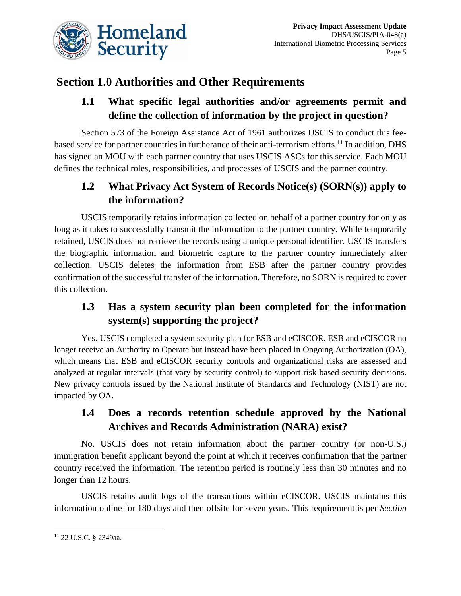

# **Section 1.0 Authorities and Other Requirements**

# **1.1 What specific legal authorities and/or agreements permit and define the collection of information by the project in question?**

Section 573 of the Foreign Assistance Act of 1961 authorizes USCIS to conduct this feebased service for partner countries in furtherance of their anti-terrorism efforts.<sup>11</sup> In addition, DHS has signed an MOU with each partner country that uses USCIS ASCs for this service. Each MOU defines the technical roles, responsibilities, and processes of USCIS and the partner country.

# **1.2 What Privacy Act System of Records Notice(s) (SORN(s)) apply to the information?**

USCIS temporarily retains information collected on behalf of a partner country for only as long as it takes to successfully transmit the information to the partner country. While temporarily retained, USCIS does not retrieve the records using a unique personal identifier. USCIS transfers the biographic information and biometric capture to the partner country immediately after collection. USCIS deletes the information from ESB after the partner country provides confirmation of the successful transfer of the information. Therefore, no SORN is required to cover this collection.

# **1.3 Has a system security plan been completed for the information system(s) supporting the project?**

Yes. USCIS completed a system security plan for ESB and eCISCOR. ESB and eCISCOR no longer receive an Authority to Operate but instead have been placed in Ongoing Authorization (OA), which means that ESB and eCISCOR security controls and organizational risks are assessed and analyzed at regular intervals (that vary by security control) to support risk-based security decisions. New privacy controls issued by the National Institute of Standards and Technology (NIST) are not impacted by OA.

# **1.4 Does a records retention schedule approved by the National Archives and Records Administration (NARA) exist?**

No. USCIS does not retain information about the partner country (or non-U.S.) immigration benefit applicant beyond the point at which it receives confirmation that the partner country received the information. The retention period is routinely less than 30 minutes and no longer than 12 hours.

USCIS retains audit logs of the transactions within eCISCOR. USCIS maintains this information online for 180 days and then offsite for seven years. This requirement is per *Section* 

 $\overline{\phantom{a}}$ <sup>11</sup> 22 U.S.C. § 2349aa.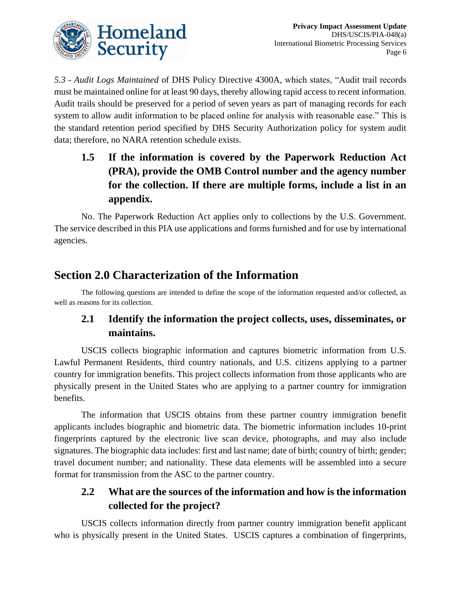

*5.3 - Audit Logs Maintained* of DHS Policy Directive 4300A, which states, "Audit trail records must be maintained online for at least 90 days, thereby allowing rapid access to recent information. Audit trails should be preserved for a period of seven years as part of managing records for each system to allow audit information to be placed online for analysis with reasonable ease." This is the standard retention period specified by DHS Security Authorization policy for system audit data; therefore, no NARA retention schedule exists.

# **1.5 If the information is covered by the Paperwork Reduction Act (PRA), provide the OMB Control number and the agency number for the collection. If there are multiple forms, include a list in an appendix.**

No. The Paperwork Reduction Act applies only to collections by the U.S. Government. The service described in this PIA use applications and forms furnished and for use by international agencies.

# **Section 2.0 Characterization of the Information**

The following questions are intended to define the scope of the information requested and/or collected, as well as reasons for its collection.

## **2.1 Identify the information the project collects, uses, disseminates, or maintains.**

USCIS collects biographic information and captures biometric information from U.S. Lawful Permanent Residents, third country nationals, and U.S. citizens applying to a partner country for immigration benefits. This project collects information from those applicants who are physically present in the United States who are applying to a partner country for immigration benefits.

The information that USCIS obtains from these partner country immigration benefit applicants includes biographic and biometric data. The biometric information includes 10-print fingerprints captured by the electronic live scan device, photographs, and may also include signatures. The biographic data includes: first and last name; date of birth; country of birth; gender; travel document number; and nationality. These data elements will be assembled into a secure format for transmission from the ASC to the partner country.

## **2.2 What are the sources of the information and how is the information collected for the project?**

USCIS collects information directly from partner country immigration benefit applicant who is physically present in the United States. USCIS captures a combination of fingerprints,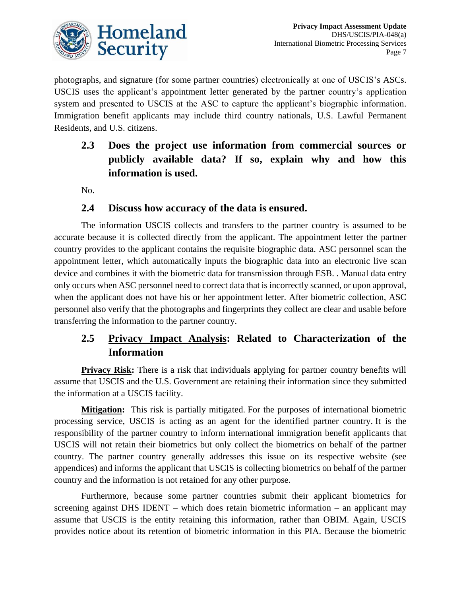

photographs, and signature (for some partner countries) electronically at one of USCIS's ASCs. USCIS uses the applicant's appointment letter generated by the partner country's application system and presented to USCIS at the ASC to capture the applicant's biographic information. Immigration benefit applicants may include third country nationals, U.S. Lawful Permanent Residents, and U.S. citizens.

**2.3 Does the project use information from commercial sources or publicly available data? If so, explain why and how this information is used.**

No.

## **2.4 Discuss how accuracy of the data is ensured.**

The information USCIS collects and transfers to the partner country is assumed to be accurate because it is collected directly from the applicant. The appointment letter the partner country provides to the applicant contains the requisite biographic data. ASC personnel scan the appointment letter, which automatically inputs the biographic data into an electronic live scan device and combines it with the biometric data for transmission through ESB. . Manual data entry only occurs when ASC personnel need to correct data that is incorrectly scanned, or upon approval, when the applicant does not have his or her appointment letter. After biometric collection, ASC personnel also verify that the photographs and fingerprints they collect are clear and usable before transferring the information to the partner country.

# **2.5 Privacy Impact Analysis: Related to Characterization of the Information**

**Privacy Risk:** There is a risk that individuals applying for partner country benefits will assume that USCIS and the U.S. Government are retaining their information since they submitted the information at a USCIS facility.

**Mitigation:** This risk is partially mitigated. For the purposes of international biometric processing service, USCIS is acting as an agent for the identified partner country. It is the responsibility of the partner country to inform international immigration benefit applicants that USCIS will not retain their biometrics but only collect the biometrics on behalf of the partner country. The partner country generally addresses this issue on its respective website (see appendices) and informs the applicant that USCIS is collecting biometrics on behalf of the partner country and the information is not retained for any other purpose.

Furthermore, because some partner countries submit their applicant biometrics for screening against DHS IDENT – which does retain biometric information – an applicant may assume that USCIS is the entity retaining this information, rather than OBIM. Again, USCIS provides notice about its retention of biometric information in this PIA. Because the biometric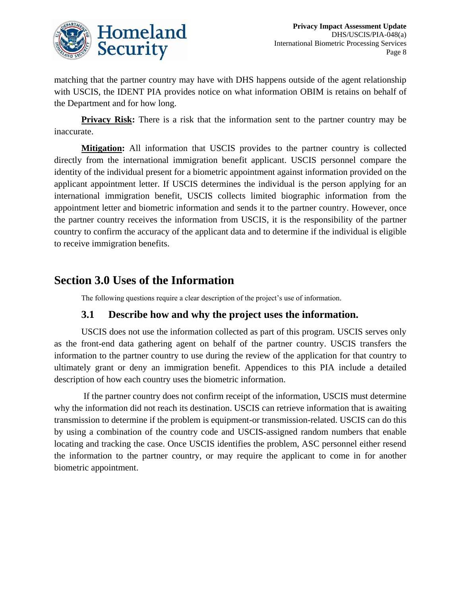

matching that the partner country may have with DHS happens outside of the agent relationship with USCIS, the IDENT PIA provides notice on what information OBIM is retains on behalf of the Department and for how long.

**Privacy Risk:** There is a risk that the information sent to the partner country may be inaccurate.

**Mitigation:** All information that USCIS provides to the partner country is collected directly from the international immigration benefit applicant. USCIS personnel compare the identity of the individual present for a biometric appointment against information provided on the applicant appointment letter. If USCIS determines the individual is the person applying for an international immigration benefit, USCIS collects limited biographic information from the appointment letter and biometric information and sends it to the partner country. However, once the partner country receives the information from USCIS, it is the responsibility of the partner country to confirm the accuracy of the applicant data and to determine if the individual is eligible to receive immigration benefits.

# **Section 3.0 Uses of the Information**

The following questions require a clear description of the project's use of information.

## **3.1 Describe how and why the project uses the information.**

USCIS does not use the information collected as part of this program. USCIS serves only as the front-end data gathering agent on behalf of the partner country. USCIS transfers the information to the partner country to use during the review of the application for that country to ultimately grant or deny an immigration benefit. Appendices to this PIA include a detailed description of how each country uses the biometric information.

If the partner country does not confirm receipt of the information, USCIS must determine why the information did not reach its destination. USCIS can retrieve information that is awaiting transmission to determine if the problem is equipment-or transmission-related. USCIS can do this by using a combination of the country code and USCIS-assigned random numbers that enable locating and tracking the case. Once USCIS identifies the problem, ASC personnel either resend the information to the partner country, or may require the applicant to come in for another biometric appointment.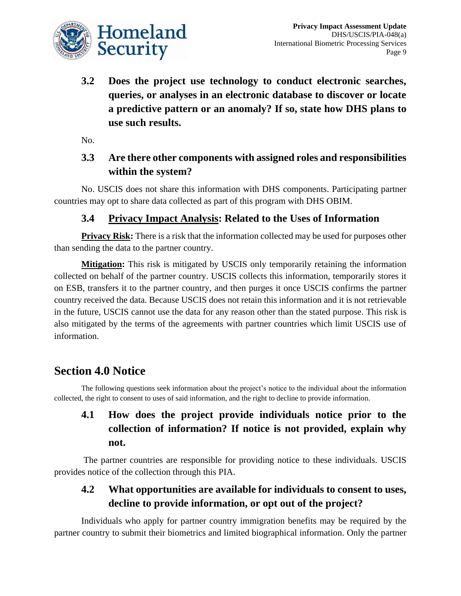

**3.2 Does the project use technology to conduct electronic searches, queries, or analyses in an electronic database to discover or locate a predictive pattern or an anomaly? If so, state how DHS plans to use such results.**

No.

## **3.3 Are there other components with assigned roles and responsibilities within the system?**

No. USCIS does not share this information with DHS components. Participating partner countries may opt to share data collected as part of this program with DHS OBIM.

## **3.4 Privacy Impact Analysis: Related to the Uses of Information**

**Privacy Risk:** There is a risk that the information collected may be used for purposes other than sending the data to the partner country.

**Mitigation:** This risk is mitigated by USCIS only temporarily retaining the information collected on behalf of the partner country. USCIS collects this information, temporarily stores it on ESB, transfers it to the partner country, and then purges it once USCIS confirms the partner country received the data. Because USCIS does not retain this information and it is not retrievable in the future, USCIS cannot use the data for any reason other than the stated purpose. This risk is also mitigated by the terms of the agreements with partner countries which limit USCIS use of information.

# **Section 4.0 Notice**

The following questions seek information about the project's notice to the individual about the information collected, the right to consent to uses of said information, and the right to decline to provide information.

# **4.1 How does the project provide individuals notice prior to the collection of information? If notice is not provided, explain why not.**

The partner countries are responsible for providing notice to these individuals. USCIS provides notice of the collection through this PIA.

# **4.2 What opportunities are available for individuals to consent to uses, decline to provide information, or opt out of the project?**

Individuals who apply for partner country immigration benefits may be required by the partner country to submit their biometrics and limited biographical information. Only the partner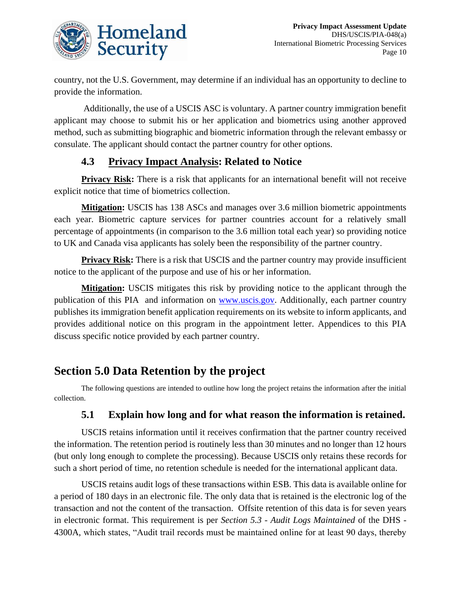

country, not the U.S. Government, may determine if an individual has an opportunity to decline to provide the information.

Additionally, the use of a USCIS ASC is voluntary. A partner country immigration benefit applicant may choose to submit his or her application and biometrics using another approved method, such as submitting biographic and biometric information through the relevant embassy or consulate. The applicant should contact the partner country for other options.

## **4.3 Privacy Impact Analysis: Related to Notice**

**Privacy Risk:** There is a risk that applicants for an international benefit will not receive explicit notice that time of biometrics collection.

**Mitigation:** USCIS has 138 ASCs and manages over 3.6 million biometric appointments each year. Biometric capture services for partner countries account for a relatively small percentage of appointments (in comparison to the 3.6 million total each year) so providing notice to UK and Canada visa applicants has solely been the responsibility of the partner country.

**Privacy Risk:** There is a risk that USCIS and the partner country may provide insufficient notice to the applicant of the purpose and use of his or her information.

**Mitigation:** USCIS mitigates this risk by providing notice to the applicant through the publication of this PIA and information on [www.uscis.gov.](http://www.uscis.gov/) Additionally, each partner country publishes its immigration benefit application requirements on its website to inform applicants, and provides additional notice on this program in the appointment letter. Appendices to this PIA discuss specific notice provided by each partner country.

# **Section 5.0 Data Retention by the project**

The following questions are intended to outline how long the project retains the information after the initial collection.

## **5.1 Explain how long and for what reason the information is retained.**

USCIS retains information until it receives confirmation that the partner country received the information. The retention period is routinely less than 30 minutes and no longer than 12 hours (but only long enough to complete the processing). Because USCIS only retains these records for such a short period of time, no retention schedule is needed for the international applicant data.

USCIS retains audit logs of these transactions within ESB. This data is available online for a period of 180 days in an electronic file. The only data that is retained is the electronic log of the transaction and not the content of the transaction. Offsite retention of this data is for seven years in electronic format. This requirement is per *Section 5.3 - Audit Logs Maintained* of the DHS - 4300A, which states, "Audit trail records must be maintained online for at least 90 days, thereby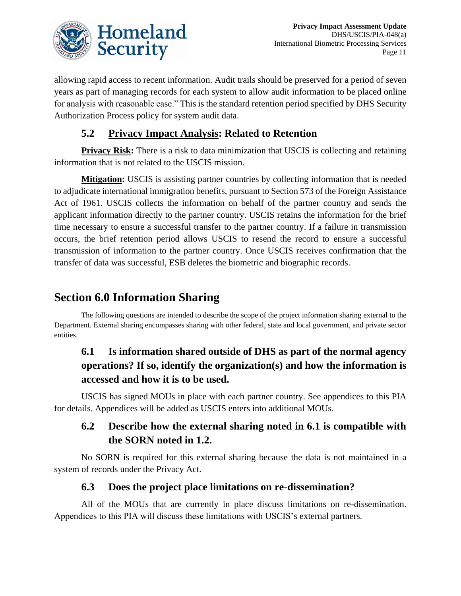

allowing rapid access to recent information. Audit trails should be preserved for a period of seven years as part of managing records for each system to allow audit information to be placed online for analysis with reasonable ease." This is the standard retention period specified by DHS Security Authorization Process policy for system audit data.

## **5.2 Privacy Impact Analysis: Related to Retention**

**Privacy Risk:** There is a risk to data minimization that USCIS is collecting and retaining information that is not related to the USCIS mission.

**Mitigation:** USCIS is assisting partner countries by collecting information that is needed to adjudicate international immigration benefits, pursuant to Section 573 of the Foreign Assistance Act of 1961. USCIS collects the information on behalf of the partner country and sends the applicant information directly to the partner country. USCIS retains the information for the brief time necessary to ensure a successful transfer to the partner country. If a failure in transmission occurs, the brief retention period allows USCIS to resend the record to ensure a successful transmission of information to the partner country. Once USCIS receives confirmation that the transfer of data was successful, ESB deletes the biometric and biographic records.

# **Section 6.0 Information Sharing**

The following questions are intended to describe the scope of the project information sharing external to the Department. External sharing encompasses sharing with other federal, state and local government, and private sector entities.

# **6.1 Is information shared outside of DHS as part of the normal agency operations? If so, identify the organization(s) and how the information is accessed and how it is to be used.**

USCIS has signed MOUs in place with each partner country. See appendices to this PIA for details. Appendices will be added as USCIS enters into additional MOUs.

# **6.2 Describe how the external sharing noted in 6.1 is compatible with the SORN noted in 1.2.**

No SORN is required for this external sharing because the data is not maintained in a system of records under the Privacy Act.

## **6.3 Does the project place limitations on re-dissemination?**

All of the MOUs that are currently in place discuss limitations on re-dissemination. Appendices to this PIA will discuss these limitations with USCIS's external partners.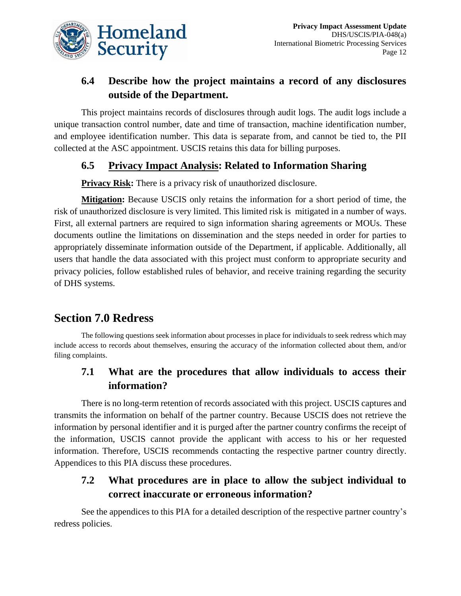

# **6.4 Describe how the project maintains a record of any disclosures outside of the Department.**

This project maintains records of disclosures through audit logs. The audit logs include a unique transaction control number, date and time of transaction, machine identification number, and employee identification number. This data is separate from, and cannot be tied to, the PII collected at the ASC appointment. USCIS retains this data for billing purposes.

## **6.5 Privacy Impact Analysis: Related to Information Sharing**

**Privacy Risk:** There is a privacy risk of unauthorized disclosure.

**Mitigation:** Because USCIS only retains the information for a short period of time, the risk of unauthorized disclosure is very limited. This limited risk is mitigated in a number of ways. First, all external partners are required to sign information sharing agreements or MOUs. These documents outline the limitations on dissemination and the steps needed in order for parties to appropriately disseminate information outside of the Department, if applicable. Additionally, all users that handle the data associated with this project must conform to appropriate security and privacy policies, follow established rules of behavior, and receive training regarding the security of DHS systems.

# **Section 7.0 Redress**

The following questions seek information about processes in place for individuals to seek redress which may include access to records about themselves, ensuring the accuracy of the information collected about them, and/or filing complaints.

# **7.1 What are the procedures that allow individuals to access their information?**

There is no long-term retention of records associated with this project. USCIS captures and transmits the information on behalf of the partner country. Because USCIS does not retrieve the information by personal identifier and it is purged after the partner country confirms the receipt of the information, USCIS cannot provide the applicant with access to his or her requested information. Therefore, USCIS recommends contacting the respective partner country directly. Appendices to this PIA discuss these procedures.

# **7.2 What procedures are in place to allow the subject individual to correct inaccurate or erroneous information?**

See the appendices to this PIA for a detailed description of the respective partner country's redress policies.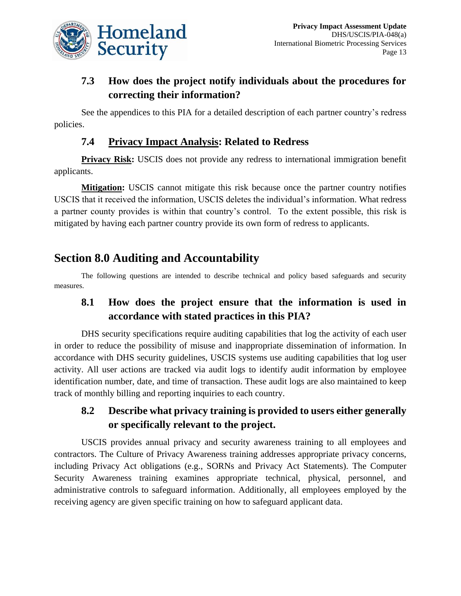

# **7.3 How does the project notify individuals about the procedures for correcting their information?**

See the appendices to this PIA for a detailed description of each partner country's redress policies.

## **7.4 Privacy Impact Analysis: Related to Redress**

**Privacy Risk:** USCIS does not provide any redress to international immigration benefit applicants.

**Mitigation:** USCIS cannot mitigate this risk because once the partner country notifies USCIS that it received the information, USCIS deletes the individual's information. What redress a partner county provides is within that country's control. To the extent possible, this risk is mitigated by having each partner country provide its own form of redress to applicants.

# **Section 8.0 Auditing and Accountability**

The following questions are intended to describe technical and policy based safeguards and security measures.

# **8.1 How does the project ensure that the information is used in accordance with stated practices in this PIA?**

DHS security specifications require auditing capabilities that log the activity of each user in order to reduce the possibility of misuse and inappropriate dissemination of information. In accordance with DHS security guidelines, USCIS systems use auditing capabilities that log user activity. All user actions are tracked via audit logs to identify audit information by employee identification number, date, and time of transaction. These audit logs are also maintained to keep track of monthly billing and reporting inquiries to each country.

# **8.2 Describe what privacy training is provided to users either generally or specifically relevant to the project.**

USCIS provides annual privacy and security awareness training to all employees and contractors. The Culture of Privacy Awareness training addresses appropriate privacy concerns, including Privacy Act obligations (e.g., SORNs and Privacy Act Statements). The Computer Security Awareness training examines appropriate technical, physical, personnel, and administrative controls to safeguard information. Additionally, all employees employed by the receiving agency are given specific training on how to safeguard applicant data.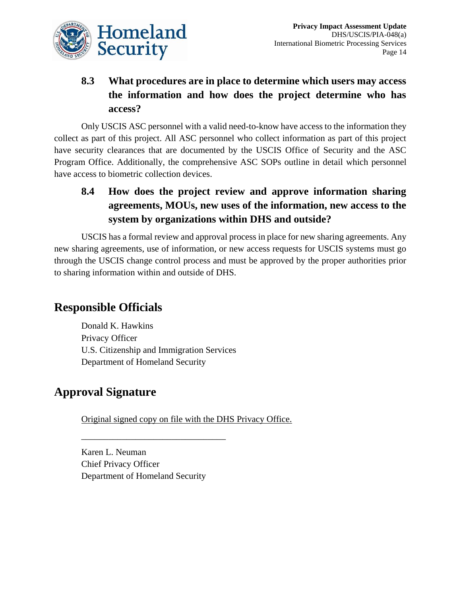

# **8.3 What procedures are in place to determine which users may access the information and how does the project determine who has access?**

Only USCIS ASC personnel with a valid need-to-know have access to the information they collect as part of this project. All ASC personnel who collect information as part of this project have security clearances that are documented by the USCIS Office of Security and the ASC Program Office. Additionally, the comprehensive ASC SOPs outline in detail which personnel have access to biometric collection devices.

# **8.4 How does the project review and approve information sharing agreements, MOUs, new uses of the information, new access to the system by organizations within DHS and outside?**

USCIS has a formal review and approval process in place for new sharing agreements. Any new sharing agreements, use of information, or new access requests for USCIS systems must go through the USCIS change control process and must be approved by the proper authorities prior to sharing information within and outside of DHS.

# **Responsible Officials**

Donald K. Hawkins Privacy Officer U.S. Citizenship and Immigration Services Department of Homeland Security

# **Approval Signature**

Original signed copy on file with the DHS Privacy Office.

Karen L. Neuman Chief Privacy Officer Department of Homeland Security

\_\_\_\_\_\_\_\_\_\_\_\_\_\_\_\_\_\_\_\_\_\_\_\_\_\_\_\_\_\_\_\_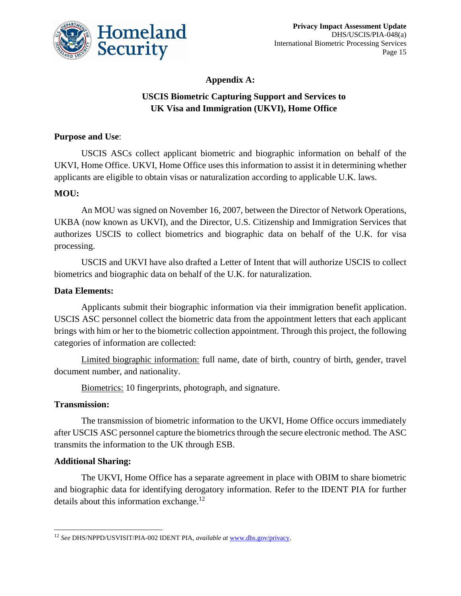

## **Appendix A:**

## **USCIS Biometric Capturing Support and Services to UK Visa and Immigration (UKVI), Home Office**

### **Purpose and Use**:

USCIS ASCs collect applicant biometric and biographic information on behalf of the UKVI, Home Office. UKVI, Home Office uses this information to assist it in determining whether applicants are eligible to obtain visas or naturalization according to applicable U.K. laws.

## **MOU:**

An MOU was signed on November 16, 2007, between the Director of Network Operations, UKBA (now known as UKVI), and the Director, U.S. Citizenship and Immigration Services that authorizes USCIS to collect biometrics and biographic data on behalf of the U.K. for visa processing.

USCIS and UKVI have also drafted a Letter of Intent that will authorize USCIS to collect biometrics and biographic data on behalf of the U.K. for naturalization.

#### **Data Elements:**

Applicants submit their biographic information via their immigration benefit application. USCIS ASC personnel collect the biometric data from the appointment letters that each applicant brings with him or her to the biometric collection appointment. Through this project, the following categories of information are collected:

Limited biographic information: full name, date of birth, country of birth, gender, travel document number, and nationality.

Biometrics: 10 fingerprints, photograph, and signature.

#### **Transmission:**

The transmission of biometric information to the UKVI, Home Office occurs immediately after USCIS ASC personnel capture the biometrics through the secure electronic method. The ASC transmits the information to the UK through ESB.

#### **Additional Sharing:**

 $\overline{\phantom{a}}$ 

The UKVI, Home Office has a separate agreement in place with OBIM to share biometric and biographic data for identifying derogatory information. Refer to the IDENT PIA for further details about this information exchange.<sup>12</sup>

<sup>12</sup> *See* DHS/NPPD/USVISIT/PIA-002 IDENT PIA, *available at* [www.dhs.gov/privacy.](http://www.dhs.gov/privacy)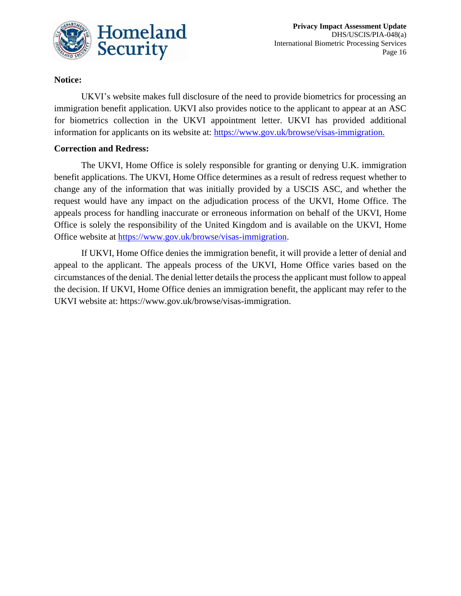

### **Notice:**

UKVI's website makes full disclosure of the need to provide biometrics for processing an immigration benefit application. UKVI also provides notice to the applicant to appear at an ASC for biometrics collection in the UKVI appointment letter. UKVI has provided additional information for applicants on its website at: [https://www.gov.uk/browse/visas-immigration.](https://www.gov.uk/browse/visas-immigration)

#### **Correction and Redress:**

The UKVI, Home Office is solely responsible for granting or denying U.K. immigration benefit applications. The UKVI, Home Office determines as a result of redress request whether to change any of the information that was initially provided by a USCIS ASC, and whether the request would have any impact on the adjudication process of the UKVI, Home Office. The appeals process for handling inaccurate or erroneous information on behalf of the UKVI, Home Office is solely the responsibility of the United Kingdom and is available on the UKVI, Home Office website at [https://www.gov.uk/browse/visas-immigration.](https://www.gov.uk/browse/visas-immigration)

If UKVI, Home Office denies the immigration benefit, it will provide a letter of denial and appeal to the applicant. The appeals process of the UKVI, Home Office varies based on the circumstances of the denial. The denial letter details the process the applicant must follow to appeal the decision. If UKVI, Home Office denies an immigration benefit, the applicant may refer to the UKVI website at: [https://www.gov.uk/browse/visas-immigration.](https://www.gov.uk/browse/visas-immigration)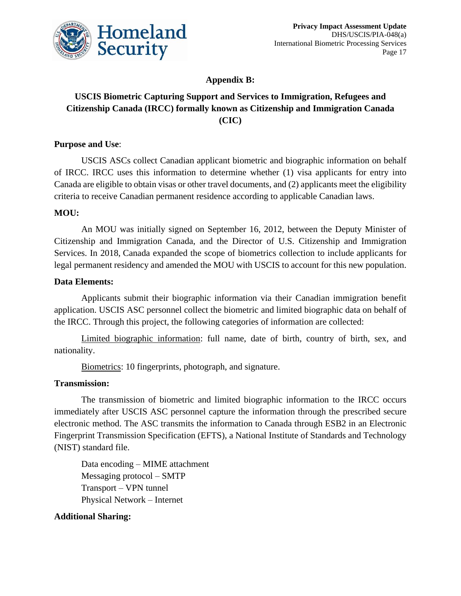

**Appendix B:**

## **USCIS Biometric Capturing Support and Services to Immigration, Refugees and Citizenship Canada (IRCC) formally known as Citizenship and Immigration Canada (CIC)**

### **Purpose and Use**:

USCIS ASCs collect Canadian applicant biometric and biographic information on behalf of IRCC. IRCC uses this information to determine whether (1) visa applicants for entry into Canada are eligible to obtain visas or other travel documents, and (2) applicants meet the eligibility criteria to receive Canadian permanent residence according to applicable Canadian laws.

#### **MOU:**

An MOU was initially signed on September 16, 2012, between the Deputy Minister of Citizenship and Immigration Canada, and the Director of U.S. Citizenship and Immigration Services. In 2018, Canada expanded the scope of biometrics collection to include applicants for legal permanent residency and amended the MOU with USCIS to account for this new population.

#### **Data Elements:**

Applicants submit their biographic information via their Canadian immigration benefit application. USCIS ASC personnel collect the biometric and limited biographic data on behalf of the IRCC. Through this project, the following categories of information are collected:

Limited biographic information: full name, date of birth, country of birth, sex, and nationality.

Biometrics: 10 fingerprints, photograph, and signature.

## **Transmission:**

The transmission of biometric and limited biographic information to the IRCC occurs immediately after USCIS ASC personnel capture the information through the prescribed secure electronic method. The ASC transmits the information to Canada through ESB2 in an Electronic Fingerprint Transmission Specification (EFTS), a National Institute of Standards and Technology (NIST) standard file.

Data encoding – MIME attachment Messaging protocol – SMTP Transport – VPN tunnel Physical Network – Internet

## **Additional Sharing:**